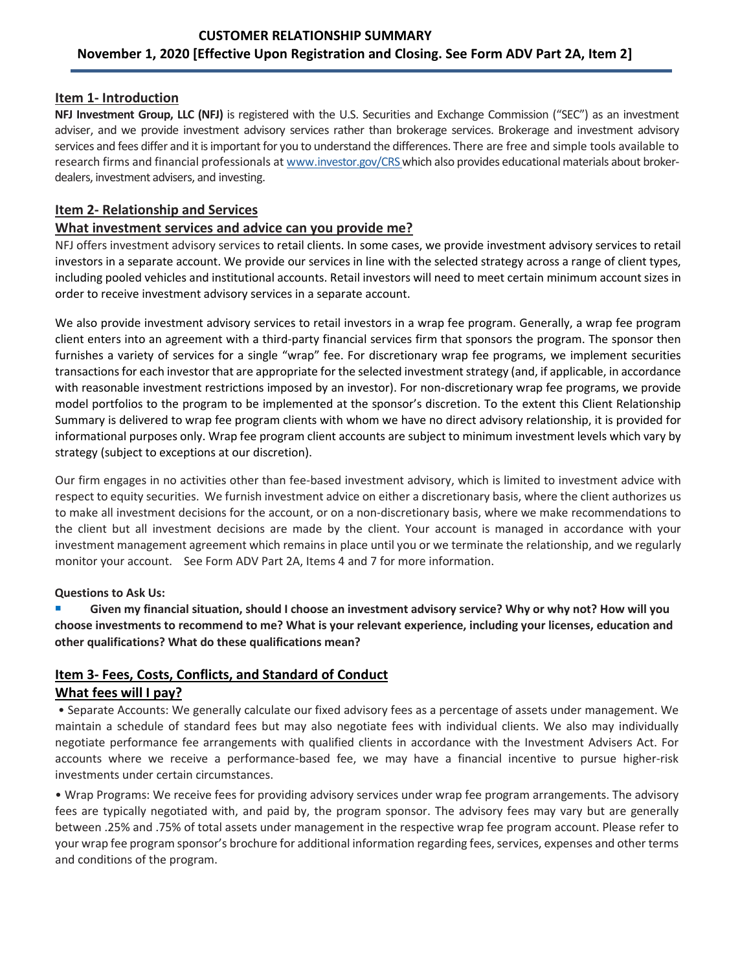## **CUSTOMER RELATIONSHIP SUMMARY November 1, 2020 [Effective Upon Registration and Closing. See Form ADV Part 2A, Item 2]**

### **Item 1- Introduction**

**NFJ Investment Group, LLC (NFJ)** is registered with the U.S. Securities and Exchange Commission ("SEC") as an investment adviser, and we provide investment advisory services rather than brokerage services. Brokerage and investment advisory services and fees differ and it is important for you to understand the differences. There are free and simple tools available to research firms and financial professionals a[t www.investor.gov/CRS w](http://www.investor.gov/CRS)hich also provides educational materials about brokerdealers, investment advisers, and investing.

#### **Item 2- Relationship and Services**

#### **What investment services and advice can you provide me?**

NFJ offers investment advisory services to retail clients. In some cases, we provide investment advisory services to retail investors in a separate account. We provide our services in line with the selected strategy across a range of client types, including pooled vehicles and institutional accounts. Retail investors will need to meet certain minimum account sizes in order to receive investment advisory services in a separate account.

We also provide investment advisory services to retail investors in a wrap fee program. Generally, a wrap fee program client enters into an agreement with a third-party financial services firm that sponsors the program. The sponsor then furnishes a variety of services for a single "wrap" fee. For discretionary wrap fee programs, we implement securities transactions for each investor that are appropriate for the selected investment strategy (and, if applicable, in accordance with reasonable investment restrictions imposed by an investor). For non-discretionary wrap fee programs, we provide model portfolios to the program to be implemented at the sponsor's discretion. To the extent this Client Relationship Summary is delivered to wrap fee program clients with whom we have no direct advisory relationship, it is provided for informational purposes only. Wrap fee program client accounts are subject to minimum investment levels which vary by strategy (subject to exceptions at our discretion).

Our firm engages in no activities other than fee-based investment advisory, which is limited to investment advice with respect to equity securities. We furnish investment advice on either a discretionary basis, where the client authorizes us to make all investment decisions for the account, or on a non-discretionary basis, where we make recommendations to the client but all investment decisions are made by the client. Your account is managed in accordance with your investment management agreement which remains in place until you or we terminate the relationship, and we regularly monitor your account. See Form ADV Part 2A, Items 4 and 7 for more information.

#### **Questions to Ask Us:**

 **Given my financial situation, should I choose an investment advisory service? Why or why not? How will you choose investments to recommend to me? What is your relevant experience, including your licenses, education and other qualifications? What do these qualifications mean?**

## **Item 3- Fees, Costs, Conflicts, and Standard of Conduct What fees will I pay?**

• Separate Accounts: We generally calculate our fixed advisory fees as a percentage of assets under management. We maintain a schedule of standard fees but may also negotiate fees with individual clients. We also may individually negotiate performance fee arrangements with qualified clients in accordance with the Investment Advisers Act. For accounts where we receive a performance-based fee, we may have a financial incentive to pursue higher-risk investments under certain circumstances.

• Wrap Programs: We receive fees for providing advisory services under wrap fee program arrangements. The advisory fees are typically negotiated with, and paid by, the program sponsor. The advisory fees may vary but are generally between .25% and .75% of total assets under management in the respective wrap fee program account. Please refer to your wrap fee program sponsor's brochure for additional information regarding fees, services, expenses and other terms and conditions of the program.